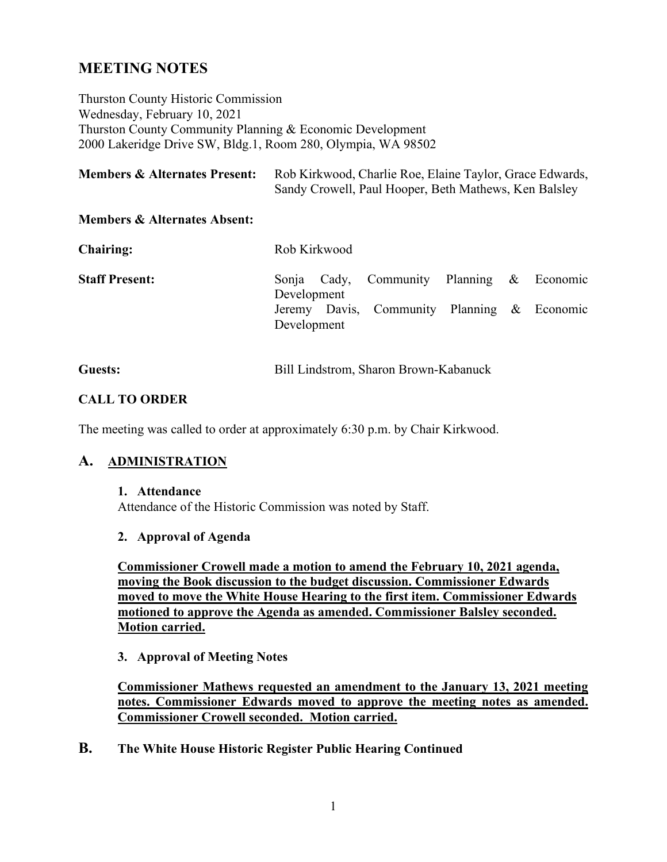# **MEETING NOTES**

Thurston County Historic Commission Wednesday, February 10, 2021 Thurston County Community Planning & Economic Development 2000 Lakeridge Drive SW, Bldg.1, Room 280, Olympia, WA 98502

| <b>Members &amp; Alternates Present:</b> | Rob Kirkwood, Charlie Roe, Elaine Taylor, Grace Edwards, |
|------------------------------------------|----------------------------------------------------------|
|                                          | Sandy Crowell, Paul Hooper, Beth Mathews, Ken Balsley    |

#### **Members & Alternates Absent:**

| <b>Chairing:</b>      | Rob Kirkwood |  |                                             |  |  |  |  |
|-----------------------|--------------|--|---------------------------------------------|--|--|--|--|
| <b>Staff Present:</b> | Development  |  | Sonja Cady, Community Planning & Economic   |  |  |  |  |
|                       | Development  |  | Jeremy Davis, Community Planning & Economic |  |  |  |  |

#### **CALL TO ORDER**

The meeting was called to order at approximately 6:30 p.m. by Chair Kirkwood.

#### **A. ADMINISTRATION**

#### **1. Attendance**

Attendance of the Historic Commission was noted by Staff.

#### **2. Approval of Agenda**

**Commissioner Crowell made a motion to amend the February 10, 2021 agenda, moving the Book discussion to the budget discussion. Commissioner Edwards moved to move the White House Hearing to the first item. Commissioner Edwards motioned to approve the Agenda as amended. Commissioner Balsley seconded. Motion carried.** 

**3. Approval of Meeting Notes**

**Commissioner Mathews requested an amendment to the January 13, 2021 meeting notes. Commissioner Edwards moved to approve the meeting notes as amended. Commissioner Crowell seconded. Motion carried.**

**B. The White House Historic Register Public Hearing Continued**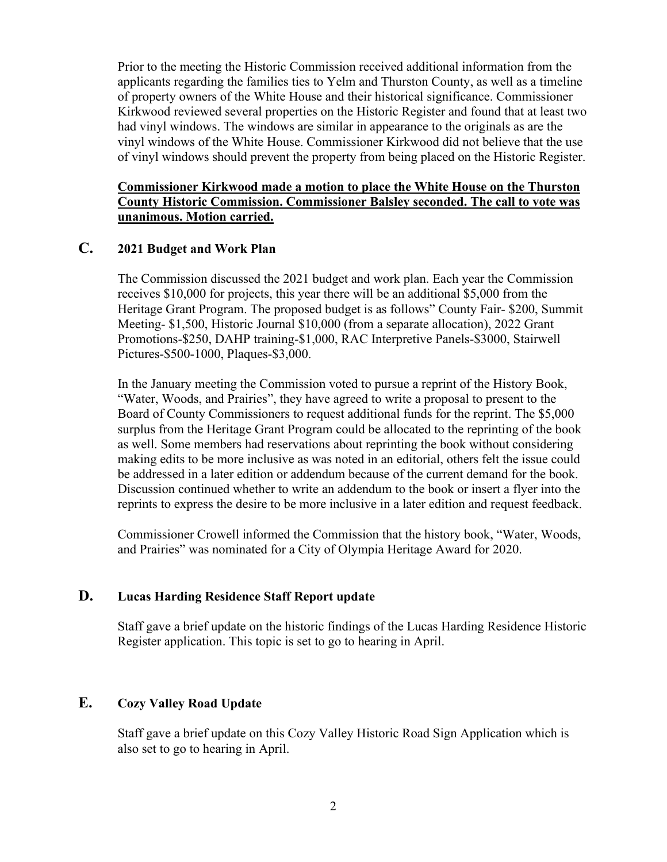Prior to the meeting the Historic Commission received additional information from the applicants regarding the families ties to Yelm and Thurston County, as well as a timeline of property owners of the White House and their historical significance. Commissioner Kirkwood reviewed several properties on the Historic Register and found that at least two had vinyl windows. The windows are similar in appearance to the originals as are the vinyl windows of the White House. Commissioner Kirkwood did not believe that the use of vinyl windows should prevent the property from being placed on the Historic Register.

#### **Commissioner Kirkwood made a motion to place the White House on the Thurston County Historic Commission. Commissioner Balsley seconded. The call to vote was unanimous. Motion carried.**

#### **C. 2021 Budget and Work Plan**

The Commission discussed the 2021 budget and work plan. Each year the Commission receives \$10,000 for projects, this year there will be an additional \$5,000 from the Heritage Grant Program. The proposed budget is as follows" County Fair- \$200, Summit Meeting- \$1,500, Historic Journal \$10,000 (from a separate allocation), 2022 Grant Promotions-\$250, DAHP training-\$1,000, RAC Interpretive Panels-\$3000, Stairwell Pictures-\$500-1000, Plaques-\$3,000.

In the January meeting the Commission voted to pursue a reprint of the History Book, "Water, Woods, and Prairies", they have agreed to write a proposal to present to the Board of County Commissioners to request additional funds for the reprint. The \$5,000 surplus from the Heritage Grant Program could be allocated to the reprinting of the book as well. Some members had reservations about reprinting the book without considering making edits to be more inclusive as was noted in an editorial, others felt the issue could be addressed in a later edition or addendum because of the current demand for the book. Discussion continued whether to write an addendum to the book or insert a flyer into the reprints to express the desire to be more inclusive in a later edition and request feedback.

Commissioner Crowell informed the Commission that the history book, "Water, Woods, and Prairies" was nominated for a City of Olympia Heritage Award for 2020.

#### **D. Lucas Harding Residence Staff Report update**

Staff gave a brief update on the historic findings of the Lucas Harding Residence Historic Register application. This topic is set to go to hearing in April.

# **E. Cozy Valley Road Update**

Staff gave a brief update on this Cozy Valley Historic Road Sign Application which is also set to go to hearing in April.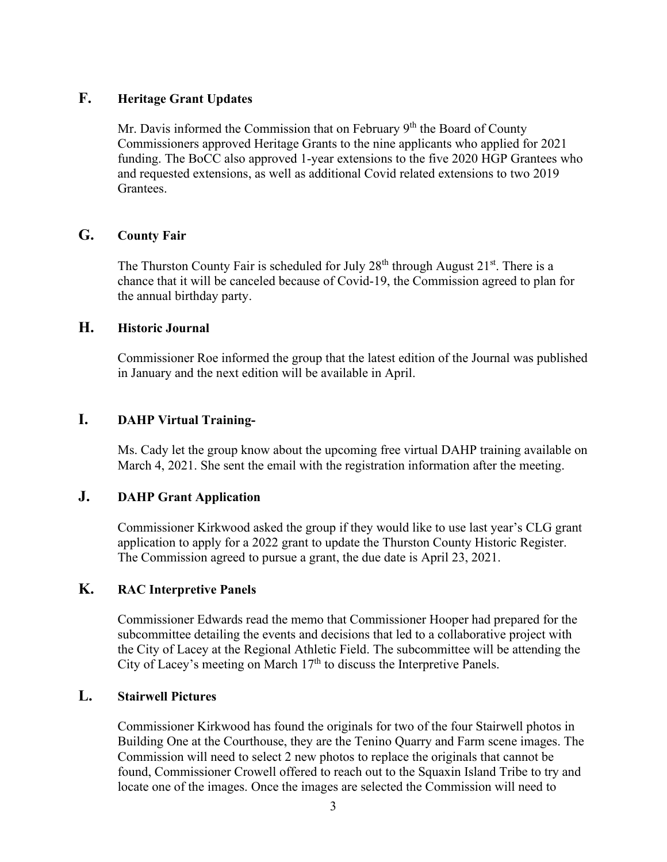## **F. Heritage Grant Updates**

Mr. Davis informed the Commission that on February 9<sup>th</sup> the Board of County Commissioners approved Heritage Grants to the nine applicants who applied for 2021 funding. The BoCC also approved 1-year extensions to the five 2020 HGP Grantees who and requested extensions, as well as additional Covid related extensions to two 2019 Grantees.

#### **G. County Fair**

The Thurston County Fair is scheduled for July  $28<sup>th</sup>$  through August  $21<sup>st</sup>$ . There is a chance that it will be canceled because of Covid-19, the Commission agreed to plan for the annual birthday party.

#### **H. Historic Journal**

Commissioner Roe informed the group that the latest edition of the Journal was published in January and the next edition will be available in April.

# **I. DAHP Virtual Training-**

Ms. Cady let the group know about the upcoming free virtual DAHP training available on March 4, 2021. She sent the email with the registration information after the meeting.

# **J. DAHP Grant Application**

Commissioner Kirkwood asked the group if they would like to use last year's CLG grant application to apply for a 2022 grant to update the Thurston County Historic Register. The Commission agreed to pursue a grant, the due date is April 23, 2021.

# **K. RAC Interpretive Panels**

Commissioner Edwards read the memo that Commissioner Hooper had prepared for the subcommittee detailing the events and decisions that led to a collaborative project with the City of Lacey at the Regional Athletic Field. The subcommittee will be attending the City of Lacey's meeting on March  $17<sup>th</sup>$  to discuss the Interpretive Panels.

### **L. Stairwell Pictures**

Commissioner Kirkwood has found the originals for two of the four Stairwell photos in Building One at the Courthouse, they are the Tenino Quarry and Farm scene images. The Commission will need to select 2 new photos to replace the originals that cannot be found, Commissioner Crowell offered to reach out to the Squaxin Island Tribe to try and locate one of the images. Once the images are selected the Commission will need to